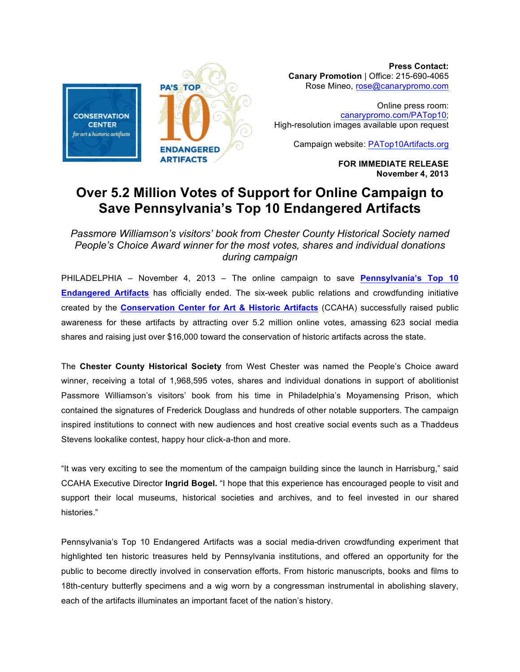

**Press Contact: Canary Promotion** | Office: 215-690-4065 Rose Mineo, rose@canarypromo.com

Online press room: canarypromo.com/PATop10; High-resolution images available upon request

Campaign website: PATop10Artifacts.org

**FOR IMMEDIATE RELEASE November 4, 2013**

## **Over 5.2 Million Votes of Support for Online Campaign to Save Pennsylvania's Top 10 Endangered Artifacts**

*Passmore Williamson's visitors' book from Chester County Historical Society named People's Choice Award winner for the most votes, shares and individual donations during campaign*

PHILADELPHIA – November 4, 2013 – The online campaign to save **Pennsylvania's Top 10 Endangered Artifacts** has officially ended. The six-week public relations and crowdfunding initiative created by the **Conservation Center for Art & Historic Artifacts** (CCAHA) successfully raised public awareness for these artifacts by attracting over 5.2 million online votes, amassing 623 social media shares and raising just over \$16,000 toward the conservation of historic artifacts across the state.

The **Chester County Historical Society** from West Chester was named the People's Choice award winner, receiving a total of 1,968,595 votes, shares and individual donations in support of abolitionist Passmore Williamson's visitors' book from his time in Philadelphia's Moyamensing Prison, which contained the signatures of Frederick Douglass and hundreds of other notable supporters. The campaign inspired institutions to connect with new audiences and host creative social events such as a Thaddeus Stevens lookalike contest, happy hour click-a-thon and more.

"It was very exciting to see the momentum of the campaign building since the launch in Harrisburg," said CCAHA Executive Director **Ingrid Bogel.** "I hope that this experience has encouraged people to visit and support their local museums, historical societies and archives, and to feel invested in our shared histories."

Pennsylvania's Top 10 Endangered Artifacts was a social media-driven crowdfunding experiment that highlighted ten historic treasures held by Pennsylvania institutions, and offered an opportunity for the public to become directly involved in conservation efforts. From historic manuscripts, books and films to 18th-century butterfly specimens and a wig worn by a congressman instrumental in abolishing slavery, each of the artifacts illuminates an important facet of the nation's history.